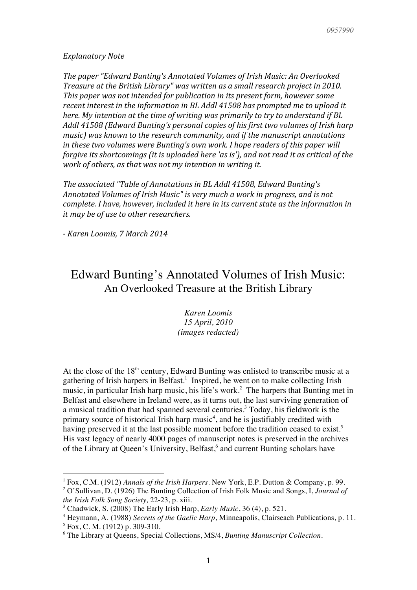#### *Explanatory Note*

The paper "Edward Bunting's Annotated Volumes of Irish Music: An Overlooked *Treasure at the British Library"* was written as a small research project in 2010. *This paper was not intended for publication in its present form, however some* recent interest in the information in BL Addl 41508 has prompted me to upload it *here.* My intention at the time of writing was primarily to try to understand if BL Addl 41508 (Edward Bunting's personal copies of his first two volumes of Irish harp *music)* was known to the research community, and if the manuscript annotations *in these two volumes were Bunting's own work. I hope readers of this paper will forgive its shortcomings (it is uploaded here 'as is'), and not read it as critical of the work of others, as that was not my intention in writing it.* 

*The associated "Table of Annotations in BL Addl 41508, Edward Bunting's* Annotated Volumes of Irish Music" is very much a work in progress, and is not *complete.* I have, however, included it here in its current state as the information in *it* may be of use to other researchers.

*- Karen Loomis, 7 March 2014*

# Edward Bunting's Annotated Volumes of Irish Music: An Overlooked Treasure at the British Library

*Karen Loomis 15 April, 2010 (images redacted)*

At the close of the  $18<sup>th</sup>$  century, Edward Bunting was enlisted to transcribe music at a gathering of Irish harpers in Belfast.<sup>1</sup> Inspired, he went on to make collecting Irish music, in particular Irish harp music, his life's work.<sup>2</sup> The harpers that Bunting met in Belfast and elsewhere in Ireland were, as it turns out, the last surviving generation of a musical tradition that had spanned several centuries. <sup>3</sup> Today, his fieldwork is the primary source of historical Irish harp music<sup>4</sup>, and he is justifiably credited with having preserved it at the last possible moment before the tradition ceased to exist.<sup>5</sup> His vast legacy of nearly 4000 pages of manuscript notes is preserved in the archives of the Library at Queen's University, Belfast, <sup>6</sup> and current Bunting scholars have

<sup>1</sup> Fox, C.M. (1912) *Annals of the Irish Harpers.* New York, E.P. Dutton & Company, p. 99.

<sup>2</sup> O'Sullivan, D. (1926) The Bunting Collection of Irish Folk Music and Songs, I, *Journal of the Irish Folk Song Society,* 22-23, p. xiii.

<sup>3</sup> Chadwick, S. (2008) The Early Irish Harp, *Early Music*, 36 (4), p. 521.

<sup>4</sup> Heymann, A. (1988) *Secrets of the Gaelic Harp*, Minneapolis, Clairseach Publications, p. 11.

 $5$  Fox, C. M. (1912) p. 309-310.

<sup>6</sup> The Library at Queens, Special Collections, MS/4, *Bunting Manuscript Collection*.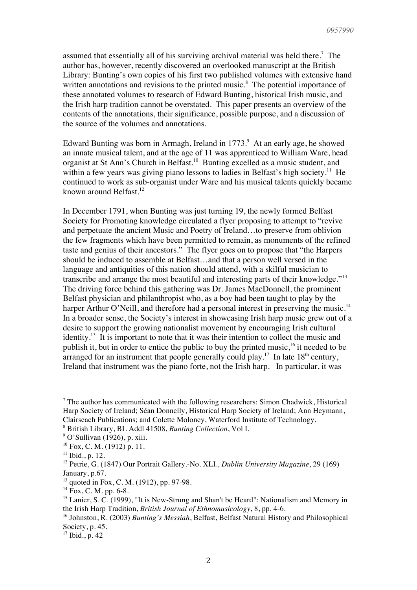assumed that essentially all of his surviving archival material was held there.<sup>7</sup> The author has, however, recently discovered an overlooked manuscript at the British Library: Bunting's own copies of his first two published volumes with extensive hand written annotations and revisions to the printed music.<sup>8</sup> The potential importance of these annotated volumes to research of Edward Bunting, historical Irish music, and the Irish harp tradition cannot be overstated. This paper presents an overview of the contents of the annotations, their significance, possible purpose, and a discussion of the source of the volumes and annotations.

Edward Bunting was born in Armagh, Ireland in  $1773.9$ <sup>9</sup> At an early age, he showed an innate musical talent, and at the age of 11 was apprenticed to William Ware, head organist at St Ann's Church in Belfast. 10 Bunting excelled as a music student, and within a few years was giving piano lessons to ladies in Belfast's high society.<sup>11</sup> He continued to work as sub-organist under Ware and his musical talents quickly became known around Belfast. $12$ 

In December 1791, when Bunting was just turning 19, the newly formed Belfast Society for Promoting knowledge circulated a flyer proposing to attempt to "revive and perpetuate the ancient Music and Poetry of Ireland…to preserve from oblivion the few fragments which have been permitted to remain, as monuments of the refined taste and genius of their ancestors." The flyer goes on to propose that "the Harpers should be induced to assemble at Belfast…and that a person well versed in the language and antiquities of this nation should attend, with a skilful musician to transcribe and arrange the most beautiful and interesting parts of their knowledge."<sup>13</sup> The driving force behind this gathering was Dr. James MacDonnell, the prominent Belfast physician and philanthropist who, as a boy had been taught to play by the harper Arthur O'Neill, and therefore had a personal interest in preserving the music.<sup>14</sup> In a broader sense, the Society's interest in showcasing Irish harp music grew out of a desire to support the growing nationalist movement by encouraging Irish cultural identity.<sup>15</sup> It is important to note that it was their intention to collect the music and publish it, but in order to entice the public to buy the printed music,<sup>16</sup> it needed to be arranged for an instrument that people generally could play.<sup>17</sup> In late  $18<sup>th</sup>$  century, Ireland that instrument was the piano forte, not the Irish harp. In particular, it was

<sup>&</sup>lt;sup>7</sup> The author has communicated with the following researchers: Simon Chadwick, Historical Harp Society of Ireland; Séan Donnelly, Historical Harp Society of Ireland; Ann Heymann, Clairseach Publications; and Colette Moloney, Waterford Institute of Technology.

<sup>8</sup> British Library, BL Addl 41508, *Bunting Collection*, Vol I.

<sup>&</sup>lt;sup>9</sup> O'Sullivan (1926), p. xiii.

 $10$  Fox, C. M. (1912) p. 11.

 $11$  Ibid., p. 12.

<sup>12</sup> Petrie, G. (1847) Our Portrait Gallery.-No. XLI., *Dublin University Magazine*, 29 (169) January, p.67.

 $13$  quoted in Fox, C. M. (1912), pp. 97-98.

 $14$  Fox, C. M. pp. 6-8.

<sup>&</sup>lt;sup>15</sup> Lanier, S. C. (1999), "It is New-Strung and Shan't be Heard": Nationalism and Memory in the Irish Harp Tradition, *British Journal of Ethnomusicology*, 8, pp. 4-6.

<sup>16</sup> Johnston, R. (2003) *Bunting's Messiah*, Belfast, Belfast Natural History and Philosophical Society, p. 45.

<sup>17</sup> Ibid., p. 42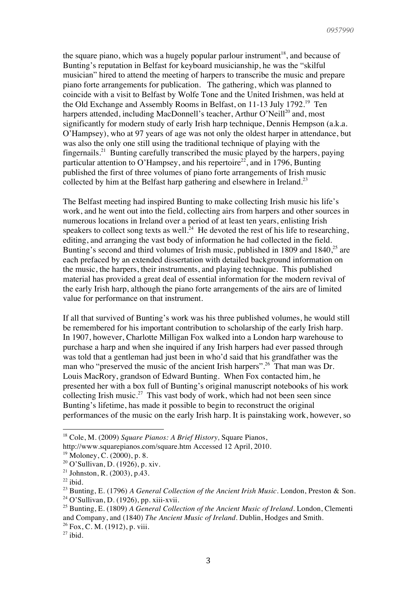the square piano, which was a hugely popular parlour instrument<sup>18</sup>, and because of Bunting's reputation in Belfast for keyboard musicianship, he was the "skilful musician" hired to attend the meeting of harpers to transcribe the music and prepare piano forte arrangements for publication. The gathering, which was planned to coincide with a visit to Belfast by Wolfe Tone and the United Irishmen, was held at the Old Exchange and Assembly Rooms in Belfast, on 11-13 July 1792.<sup>19</sup> Ten harpers attended, including MacDonnell's teacher, Arthur O'Neill<sup>20</sup> and, most significantly for modern study of early Irish harp technique, Dennis Hempson (a.k.a. O'Hampsey), who at 97 years of age was not only the oldest harper in attendance, but was also the only one still using the traditional technique of playing with the fingernails.21 Bunting carefully transcribed the music played by the harpers, paying particular attention to O'Hampsey, and his repertoire<sup>22</sup>, and in 1796, Bunting published the first of three volumes of piano forte arrangements of Irish music collected by him at the Belfast harp gathering and elsewhere in Ireland.<sup>23</sup>

The Belfast meeting had inspired Bunting to make collecting Irish music his life's work, and he went out into the field, collecting airs from harpers and other sources in numerous locations in Ireland over a period of at least ten years, enlisting Irish speakers to collect song texts as well.<sup>24</sup> He devoted the rest of his life to researching, editing, and arranging the vast body of information he had collected in the field. Bunting's second and third volumes of Irish music, published in 1809 and 1840,<sup>25</sup> are each prefaced by an extended dissertation with detailed background information on the music, the harpers, their instruments, and playing technique. This published material has provided a great deal of essential information for the modern revival of the early Irish harp, although the piano forte arrangements of the airs are of limited value for performance on that instrument.

If all that survived of Bunting's work was his three published volumes, he would still be remembered for his important contribution to scholarship of the early Irish harp. In 1907, however, Charlotte Milligan Fox walked into a London harp warehouse to purchase a harp and when she inquired if any Irish harpers had ever passed through was told that a gentleman had just been in who'd said that his grandfather was the man who "preserved the music of the ancient Irish harpers".<sup>26</sup> That man was Dr. Louis MacRory, grandson of Edward Bunting. When Fox contacted him, he presented her with a box full of Bunting's original manuscript notebooks of his work collecting Irish music.<sup>27</sup> This vast body of work, which had not been seen since Bunting's lifetime, has made it possible to begin to reconstruct the original performances of the music on the early Irish harp. It is painstaking work, however, so

<sup>18</sup> Cole, M. (2009) *Square Pianos: A Brief History,* Square Pianos,

http://www.squarepianos.com/square.htm Accessed 12 April, 2010.

 $19$  Moloney, C. (2000), p. 8.

<sup>20</sup> O'Sullivan, D. (1926), p. xiv.

<sup>&</sup>lt;sup>21</sup> Johnston, R. (2003), p.43.

 $22$  ibid.

<sup>&</sup>lt;sup>23</sup> Bunting, E. (1796) *A General Collection of the Ancient Irish Music*. London, Preston & Son. <sup>24</sup> O'Sullivan, D. (1926), pp. xiii-xvii.

<sup>25</sup> Bunting, E. (1809) *A General Collection of the Ancient Music of Ireland.* London, Clementi and Company, and (1840) *The Ancient Music of Ireland*. Dublin, Hodges and Smith.

 $26$  Fox, C. M. (1912), p. viii.

 $27$  ibid.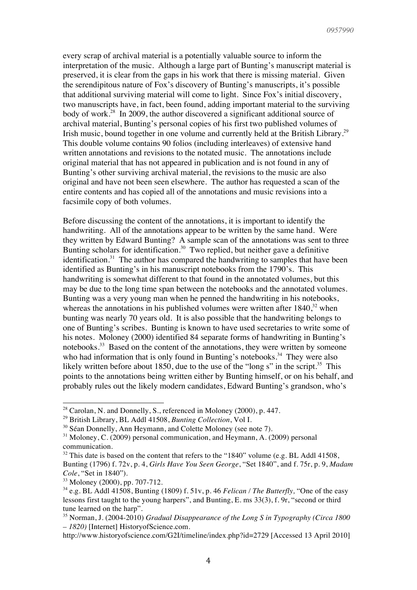every scrap of archival material is a potentially valuable source to inform the interpretation of the music. Although a large part of Bunting's manuscript material is preserved, it is clear from the gaps in his work that there is missing material. Given the serendipitous nature of Fox's discovery of Bunting's manuscripts, it's possible that additional surviving material will come to light. Since Fox's initial discovery, two manuscripts have, in fact, been found, adding important material to the surviving body of work.<sup>28</sup> In 2009, the author discovered a significant additional source of archival material, Bunting's personal copies of his first two published volumes of Irish music, bound together in one volume and currently held at the British Library.<sup>29</sup> This double volume contains 90 folios (including interleaves) of extensive hand written annotations and revisions to the notated music. The annotations include original material that has not appeared in publication and is not found in any of Bunting's other surviving archival material, the revisions to the music are also original and have not been seen elsewhere. The author has requested a scan of the entire contents and has copied all of the annotations and music revisions into a facsimile copy of both volumes.

Before discussing the content of the annotations, it is important to identify the handwriting. All of the annotations appear to be written by the same hand. Were they written by Edward Bunting? A sample scan of the annotations was sent to three Bunting scholars for identification.<sup>30</sup> Two replied, but neither gave a definitive identification.<sup>31</sup> The author has compared the handwriting to samples that have been identified as Bunting's in his manuscript notebooks from the 1790's. This handwriting is somewhat different to that found in the annotated volumes, but this may be due to the long time span between the notebooks and the annotated volumes. Bunting was a very young man when he penned the handwriting in his notebooks, whereas the annotations in his published volumes were written after  $1840$ <sup>32</sup> when bunting was nearly 70 years old. It is also possible that the handwriting belongs to one of Bunting's scribes. Bunting is known to have used secretaries to write some of his notes. Moloney (2000) identified 84 separate forms of handwriting in Bunting's notebooks.<sup>33</sup> Based on the content of the annotations, they were written by someone who had information that is only found in Bunting's notebooks.<sup>34</sup> They were also likely written before about 1850, due to the use of the "long s" in the script.<sup>35</sup> This points to the annotations being written either by Bunting himself, or on his behalf, and probably rules out the likely modern candidates, Edward Bunting's grandson, who's

<sup>&</sup>lt;sup>28</sup> Carolan, N. and Donnelly, S., referenced in Moloney (2000), p. 447.

<sup>29</sup> British Library, BL Addl 41508, *Bunting Collection*, Vol I.

<sup>&</sup>lt;sup>30</sup> Séan Donnelly, Ann Heymann, and Colette Moloney (see note 7).

 $31$  Moloney, C. (2009) personal communication, and Heymann, A. (2009) personal communication.

 $32$  This date is based on the content that refers to the "1840" volume (e.g. BL Addl 41508, Bunting (1796) f. 72v, p. 4, *Girls Have You Seen George*, "Set 1840", and f. 75r, p. 9, *Madam Cole*, "Set in 1840").

<sup>33</sup> Moloney (2000), pp. 707-712.

<sup>34</sup> e.g. BL Addl 41508, Bunting (1809) f. 51v, p. 46 *Felican / The Butterfly,* "One of the easy lessons first taught to the young harpers", and Bunting, E. ms 33(3), f. 9r, "second or third tune learned on the harp".

<sup>35</sup> Norman, J. (2004-2010) *Gradual Disappearance of the Long S in Typography (Circa 1800 – 1820)* [Internet] HistoryofScience.com.

http://www.historyofscience.com/G2I/timeline/index.php?id=2729 [Accessed 13 April 2010]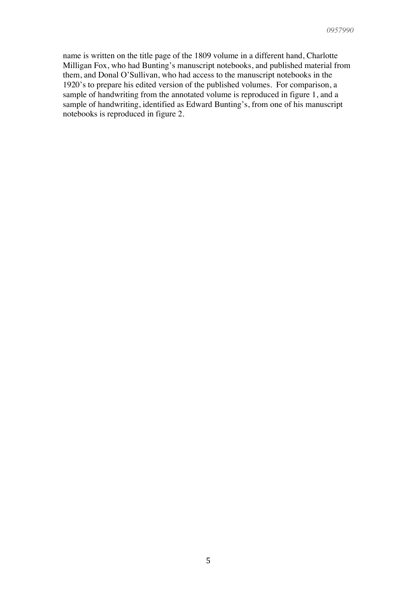name is written on the title page of the 1809 volume in a different hand, Charlotte Milligan Fox, who had Bunting's manuscript notebooks, and published material from them, and Donal O'Sullivan, who had access to the manuscript notebooks in the 1920's to prepare his edited version of the published volumes. For comparison, a sample of handwriting from the annotated volume is reproduced in figure 1, and a sample of handwriting, identified as Edward Bunting's, from one of his manuscript notebooks is reproduced in figure 2.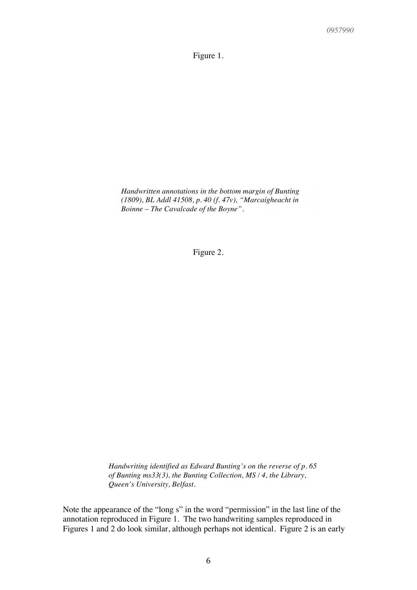Figure 1.

*Handwritten annotations in the bottom margin of Bunting (1809), BL Addl 41508, p. 40 (f. 47v), "Marcaigheacht in Boinne – The Cavalcade of the Boyne".*

Figure 2.

*Handwriting identified as Edward Bunting's on the reverse of p. 65 of Bunting ms33(3), the Bunting Collection, MS / 4, the Library, Queen's University, Belfast.*

Note the appearance of the "long s" in the word "permission" in the last line of the annotation reproduced in Figure 1. The two handwriting samples reproduced in Figures 1 and 2 do look similar, although perhaps not identical. Figure 2 is an early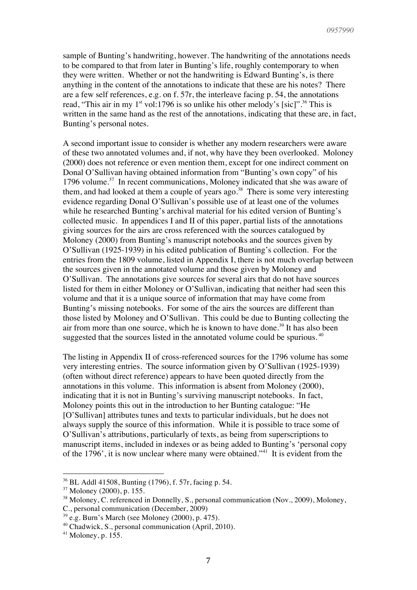sample of Bunting's handwriting, however. The handwriting of the annotations needs to be compared to that from later in Bunting's life, roughly contemporary to when they were written. Whether or not the handwriting is Edward Bunting's, is there anything in the content of the annotations to indicate that these are his notes? There are a few self references, e.g. on f. 57r, the interleave facing p. 54, the annotations read, "This air in my  $1^{st}$  vol:1796 is so unlike his other melody's [sic]".<sup>36</sup> This is written in the same hand as the rest of the annotations, indicating that these are, in fact, Bunting's personal notes.

A second important issue to consider is whether any modern researchers were aware of these two annotated volumes and, if not, why have they been overlooked. Moloney (2000) does not reference or even mention them, except for one indirect comment on Donal O'Sullivan having obtained information from "Bunting's own copy" of his 1796 volume.<sup>37</sup> In recent communications, Moloney indicated that she was aware of them, and had looked at them a couple of years ago.<sup>38</sup> There is some very interesting evidence regarding Donal O'Sullivan's possible use of at least one of the volumes while he researched Bunting's archival material for his edited version of Bunting's collected music. In appendices I and II of this paper, partial lists of the annotations giving sources for the airs are cross referenced with the sources catalogued by Moloney (2000) from Bunting's manuscript notebooks and the sources given by O'Sullivan (1925-1939) in his edited publication of Bunting's collection. For the entries from the 1809 volume, listed in Appendix I, there is not much overlap between the sources given in the annotated volume and those given by Moloney and O'Sullivan. The annotations give sources for several airs that do not have sources listed for them in either Moloney or O'Sullivan, indicating that neither had seen this volume and that it is a unique source of information that may have come from Bunting's missing notebooks. For some of the airs the sources are different than those listed by Moloney and O'Sullivan. This could be due to Bunting collecting the air from more than one source, which he is known to have done.<sup>39</sup> It has also been suggested that the sources listed in the annotated volume could be spurious.<sup>40</sup>

The listing in Appendix II of cross-referenced sources for the 1796 volume has some very interesting entries. The source information given by O'Sullivan (1925-1939) (often without direct reference) appears to have been quoted directly from the annotations in this volume. This information is absent from Moloney (2000), indicating that it is not in Bunting's surviving manuscript notebooks. In fact, Moloney points this out in the introduction to her Bunting catalogue: "He [O'Sullivan] attributes tunes and texts to particular individuals, but he does not always supply the source of this information. While it is possible to trace some of O'Sullivan's attributions, particularly of texts, as being from superscriptions to manuscript items, included in indexes or as being added to Bunting's 'personal copy of the 1796', it is now unclear where many were obtained."41 It is evident from the

<sup>36</sup> BL Addl 41508, Bunting (1796), f. 57r, facing p. 54.

<sup>37</sup> Moloney (2000), p. 155.

<sup>&</sup>lt;sup>38</sup> Moloney, C. referenced in Donnelly, S., personal communication (Nov., 2009), Moloney,

C., personal communication (December, 2009)

 $39$  e.g. Burn's March (see Moloney (2000), p. 475).

<sup>40</sup> Chadwick, S., personal communication (April, 2010).

 $41$  Moloney, p. 155.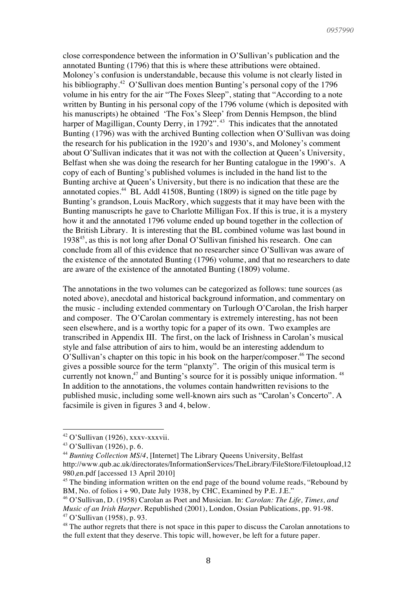close correspondence between the information in O'Sullivan's publication and the annotated Bunting (1796) that this is where these attributions were obtained. Moloney's confusion is understandable, because this volume is not clearly listed in his bibliography.<sup>42</sup> O'Sullivan does mention Bunting's personal copy of the 1796 volume in his entry for the air "The Foxes Sleep", stating that "According to a note written by Bunting in his personal copy of the 1796 volume (which is deposited with his manuscripts) he obtained 'The Fox's Sleep' from Dennis Hempson, the blind harper of Magilligan, County Derry, in 1792".<sup>43</sup> This indicates that the annotated Bunting (1796) was with the archived Bunting collection when O'Sullivan was doing the research for his publication in the 1920's and 1930's, and Moloney's comment about O'Sullivan indicates that it was not with the collection at Queen's University, Belfast when she was doing the research for her Bunting catalogue in the 1990's. A copy of each of Bunting's published volumes is included in the hand list to the Bunting archive at Queen's University, but there is no indication that these are the annotated copies. $44$  BL Addl 41508, Bunting (1809) is signed on the title page by Bunting's grandson, Louis MacRory, which suggests that it may have been with the Bunting manuscripts he gave to Charlotte Milligan Fox. If this is true, it is a mystery how it and the annotated 1796 volume ended up bound together in the collection of the British Library. It is interesting that the BL combined volume was last bound in 193845, as this is not long after Donal O'Sullivan finished his research. One can conclude from all of this evidence that no researcher since O'Sullivan was aware of the existence of the annotated Bunting (1796) volume, and that no researchers to date are aware of the existence of the annotated Bunting (1809) volume.

The annotations in the two volumes can be categorized as follows: tune sources (as noted above), anecdotal and historical background information, and commentary on the music - including extended commentary on Turlough O'Carolan, the Irish harper and composer. The O'Carolan commentary is extremely interesting, has not been seen elsewhere, and is a worthy topic for a paper of its own. Two examples are transcribed in Appendix III. The first, on the lack of Irishness in Carolan's musical style and false attribution of airs to him, would be an interesting addendum to O'Sullivan's chapter on this topic in his book on the harper/composer. <sup>46</sup> The second gives a possible source for the term "planxty". The origin of this musical term is currently not known, $47$  and Bunting's source for it is possibly unique information.  $48$ In addition to the annotations, the volumes contain handwritten revisions to the published music, including some well-known airs such as "Carolan's Concerto". A facsimile is given in figures 3 and 4, below.

  $42$  O'Sullivan (1926), xxxv-xxxvii.

<sup>43</sup> O'Sullivan (1926), p. 6.

<sup>&</sup>lt;sup>44</sup> Bunting Collection MS/4, [Internet] The Library Queens University, Belfast http://www.qub.ac.uk/directorates/InformationServices/TheLibrary/FileStore/Filetoupload,12 980,en.pdf [accessed 13 April 2010]

<sup>&</sup>lt;sup>45</sup> The binding information written on the end page of the bound volume reads, "Rebound by BM, No. of folios  $i + 90$ , Date July 1938, by CHC, Examined by P.E. J.E."

<sup>46</sup> O'Sullivan, D. (1958) Carolan as Poet and Musician. In: *Carolan: The Life, Times, and Music of an Irish Harper*. Republished (2001), London, Ossian Publications, pp. 91-98. <sup>47</sup> O'Sullivan (1958), p. 93.

<sup>&</sup>lt;sup>48</sup> The author regrets that there is not space in this paper to discuss the Carolan annotations to the full extent that they deserve. This topic will, however, be left for a future paper.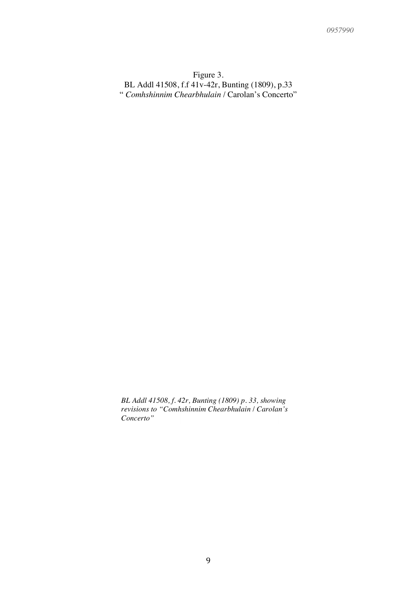## Figure 3. BL Addl 41508, f.f 41v-42r, Bunting (1809), p.33 " *Comhshinnim Chearbhulain* / Carolan's Concerto"

*BL Addl 41508, f. 42r, Bunting (1809) p. 33, showing revisions to "Comhshinnim Chearbhulain* / *Carolan's Concerto"*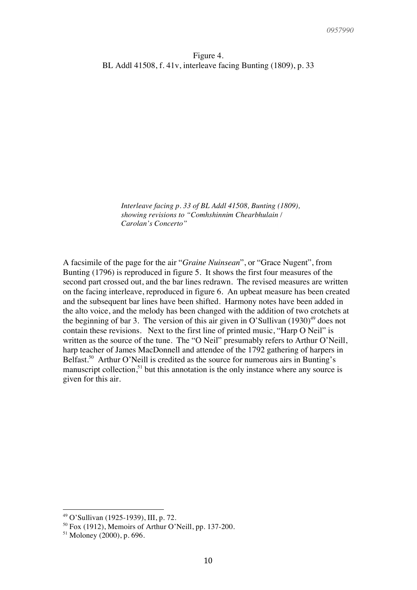*Interleave facing p. 33 of BL Addl 41508, Bunting (1809), showing revisions to "Comhshinnim Chearbhulain / Carolan's Concerto"*

A facsimile of the page for the air "*Graine Nuinsean*", or "Grace Nugent", from Bunting (1796) is reproduced in figure 5. It shows the first four measures of the second part crossed out, and the bar lines redrawn. The revised measures are written on the facing interleave, reproduced in figure 6. An upbeat measure has been created and the subsequent bar lines have been shifted. Harmony notes have been added in the alto voice, and the melody has been changed with the addition of two crotchets at the beginning of bar 3. The version of this air given in O'Sullivan  $(1930)^{49}$  does not contain these revisions. Next to the first line of printed music, "Harp O Neil" is written as the source of the tune. The "O Neil" presumably refers to Arthur O'Neill, harp teacher of James MacDonnell and attendee of the 1792 gathering of harpers in Belfast.<sup>50</sup> Arthur O'Neill is credited as the source for numerous airs in Bunting's manuscript collection, $51$  but this annotation is the only instance where any source is given for this air.

<sup>!!!!!!!!!!!!!!!!!!!!!!!!!!!!!!!!!!!!!!!!!!!!!!!!!!!!!!!!</sup> <sup>49</sup> O'Sullivan (1925-1939), III, p. 72.

 $50$  Fox (1912), Memoirs of Arthur O'Neill, pp. 137-200.

 $51$  Moloney (2000), p. 696.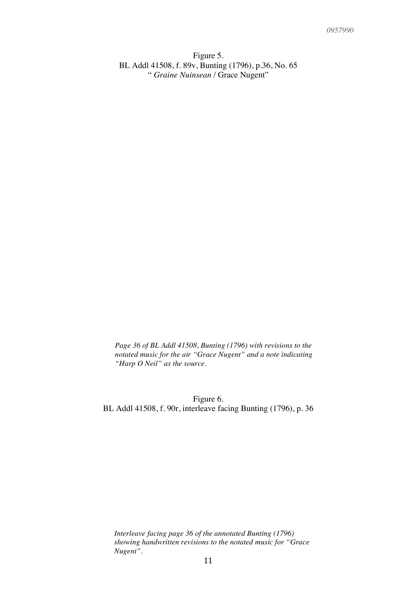Figure 5. BL Addl 41508, f. 89v, Bunting (1796), p.36, No. 65 " *Graine Nuinsean* / Grace Nugent"

*Page 36 of BL Addl 41508, Bunting (1796) with revisions to the notated music for the air "Grace Nugent" and a note indicating "Harp O Neil" as the source.*

Figure 6. BL Addl 41508, f. 90r, interleave facing Bunting (1796), p. 36

*Interleave facing page 36 of the annotated Bunting (1796) showing handwritten revisions to the notated music for "Grace Nugent".*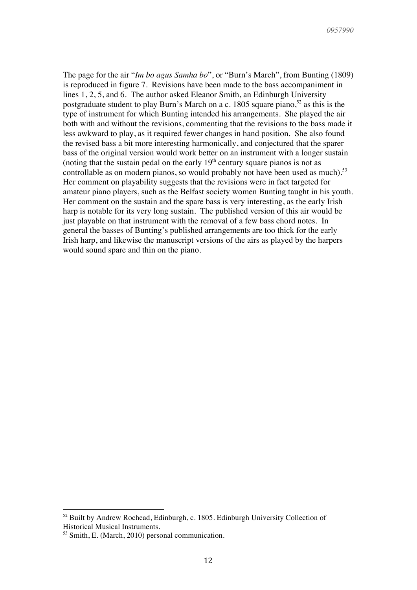The page for the air "*Im bo agus Samha bo*", or "Burn's March", from Bunting (1809) is reproduced in figure 7. Revisions have been made to the bass accompaniment in lines 1, 2, 5, and 6. The author asked Eleanor Smith, an Edinburgh University postgraduate student to play Burn's March on a c. 1805 square piano,  $52$  as this is the type of instrument for which Bunting intended his arrangements. She played the air both with and without the revisions, commenting that the revisions to the bass made it less awkward to play, as it required fewer changes in hand position. She also found the revised bass a bit more interesting harmonically, and conjectured that the sparer bass of the original version would work better on an instrument with a longer sustain (noting that the sustain pedal on the early  $19<sup>th</sup>$  century square pianos is not as controllable as on modern pianos, so would probably not have been used as much).<sup>53</sup> Her comment on playability suggests that the revisions were in fact targeted for amateur piano players, such as the Belfast society women Bunting taught in his youth. Her comment on the sustain and the spare bass is very interesting, as the early Irish harp is notable for its very long sustain. The published version of this air would be just playable on that instrument with the removal of a few bass chord notes. In general the basses of Bunting's published arrangements are too thick for the early Irish harp, and likewise the manuscript versions of the airs as played by the harpers would sound spare and thin on the piano.

 $52$  Built by Andrew Rochead, Edinburgh, c. 1805. Edinburgh University Collection of Historical Musical Instruments.

<sup>&</sup>lt;sup>53</sup> Smith, E. (March, 2010) personal communication.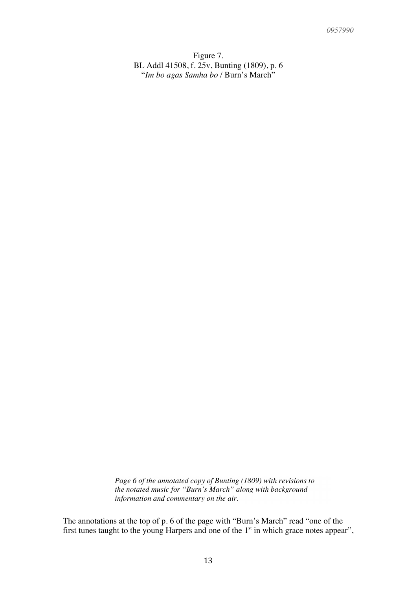Figure 7. BL Addl 41508, f. 25v, Bunting (1809), p. 6 "*Im bo agas Samha bo* / Burn's March"

*Page 6 of the annotated copy of Bunting (1809) with revisions to the notated music for "Burn's March" along with background information and commentary on the air.*

The annotations at the top of p. 6 of the page with "Burn's March" read "one of the first tunes taught to the young Harpers and one of the  $1<sup>st</sup>$  in which grace notes appear",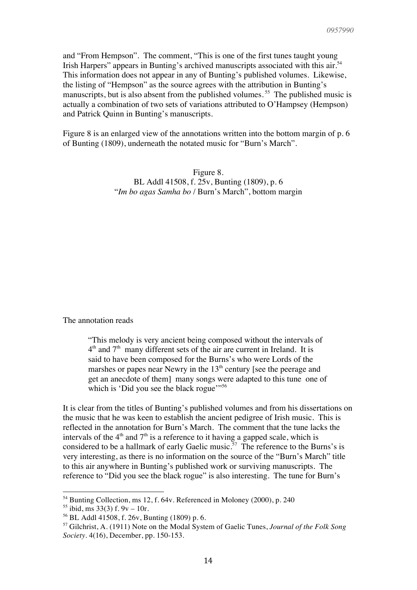and "From Hempson". The comment, "This is one of the first tunes taught young Irish Harpers" appears in Bunting's archived manuscripts associated with this air.<sup>54</sup> This information does not appear in any of Bunting's published volumes. Likewise, the listing of "Hempson" as the source agrees with the attribution in Bunting's manuscripts, but is also absent from the published volumes.<sup>55</sup> The published music is actually a combination of two sets of variations attributed to O'Hampsey (Hempson) and Patrick Quinn in Bunting's manuscripts.

Figure 8 is an enlarged view of the annotations written into the bottom margin of p. 6 of Bunting (1809), underneath the notated music for "Burn's March".

> Figure 8. BL Addl 41508, f. 25v, Bunting (1809), p. 6 "*Im bo agas Samha bo* / Burn's March", bottom margin

The annotation reads

"This melody is very ancient being composed without the intervals of  $4<sup>th</sup>$  and  $7<sup>th</sup>$  many different sets of the air are current in Ireland. It is said to have been composed for the Burns's who were Lords of the marshes or papes near Newry in the  $13<sup>th</sup>$  century [see the peerage and get an anecdote of them] many songs were adapted to this tune one of which is 'Did you see the black rogue'"<sup>56</sup>

It is clear from the titles of Bunting's published volumes and from his dissertations on the music that he was keen to establish the ancient pedigree of Irish music. This is reflected in the annotation for Burn's March. The comment that the tune lacks the intervals of the  $4<sup>th</sup>$  and  $7<sup>th</sup>$  is a reference to it having a gapped scale, which is considered to be a hallmark of early Gaelic music.<sup>57</sup> The reference to the Burns's is very interesting, as there is no information on the source of the "Burn's March" title to this air anywhere in Bunting's published work or surviving manuscripts. The reference to "Did you see the black rogue" is also interesting. The tune for Burn's

<sup>!!!!!!!!!!!!!!!!!!!!!!!!!!!!!!!!!!!!!!!!!!!!!!!!!!!!!!!!</sup> <sup>54</sup> Bunting Collection, ms 12, f. 64v. Referenced in Moloney (2000), p. 240

 $55$  ibid, ms 33(3) f. 9y – 10r.

<sup>56</sup> BL Addl 41508, f. 26v, Bunting (1809) p. 6.

<sup>57</sup> Gilchrist, A. (1911) Note on the Modal System of Gaelic Tunes, *Journal of the Folk Song Society.* 4(16), December, pp. 150-153.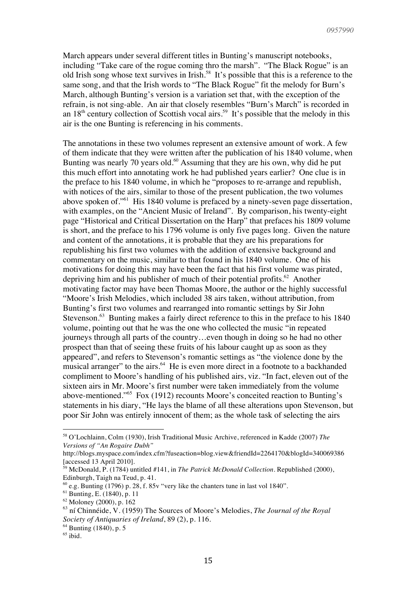March appears under several different titles in Bunting's manuscript notebooks, including "Take care of the rogue coming thro the marsh". "The Black Rogue" is an old Irish song whose text survives in Irish.<sup>58</sup> It's possible that this is a reference to the same song, and that the Irish words to "The Black Rogue" fit the melody for Burn's March, although Bunting's version is a variation set that, with the exception of the refrain, is not sing-able. An air that closely resembles "Burn's March" is recorded in an  $18<sup>th</sup>$  century collection of Scottish vocal airs.<sup>59</sup> It's possible that the melody in this air is the one Bunting is referencing in his comments.

The annotations in these two volumes represent an extensive amount of work. A few of them indicate that they were written after the publication of his 1840 volume, when Bunting was nearly 70 years old.<sup>60</sup> Assuming that they are his own, why did he put this much effort into annotating work he had published years earlier? One clue is in the preface to his 1840 volume, in which he "proposes to re-arrange and republish, with notices of the airs, similar to those of the present publication, the two volumes above spoken of."61 His 1840 volume is prefaced by a ninety-seven page dissertation, with examples, on the "Ancient Music of Ireland". By comparison, his twenty-eight page "Historical and Critical Dissertation on the Harp" that prefaces his 1809 volume is short, and the preface to his 1796 volume is only five pages long. Given the nature and content of the annotations, it is probable that they are his preparations for republishing his first two volumes with the addition of extensive background and commentary on the music, similar to that found in his 1840 volume. One of his motivations for doing this may have been the fact that his first volume was pirated, depriving him and his publisher of much of their potential profits.<sup>62</sup> Another motivating factor may have been Thomas Moore, the author or the highly successful "Moore's Irish Melodies, which included 38 airs taken, without attribution, from Bunting's first two volumes and rearranged into romantic settings by Sir John Stevenson.<sup>63</sup> Bunting makes a fairly direct reference to this in the preface to his 1840 volume, pointing out that he was the one who collected the music "in repeated journeys through all parts of the country…even though in doing so he had no other prospect than that of seeing these fruits of his labour caught up as soon as they appeared", and refers to Stevenson's romantic settings as "the violence done by the musical arranger" to the airs.<sup>64</sup> He is even more direct in a footnote to a backhanded compliment to Moore's handling of his published airs, viz. "In fact, eleven out of the sixteen airs in Mr. Moore's first number were taken immediately from the volume above-mentioned."65 Fox (1912) recounts Moore's conceited reaction to Bunting's statements in his diary, "He lays the blame of all these alterations upon Stevenson, but poor Sir John was entirely innocent of them; as the whole task of selecting the airs

<sup>58</sup> O'Lochlainn, Colm (1930), Irish Traditional Music Archive, referenced in Kadde (2007) *The Versions of "An Rogaire Dubh"*

http://blogs.myspace.com/index.cfm?fuseaction=blog.view&friendId=2264170&blogId=340069386 [accessed 13 April 2010].

<sup>59</sup> McDonald, P. (1784) untitled #141, in *The Patrick McDonald Collection*. Republished (2000), Edinburgh, Taigh na Teud, p. 41.

 $^{60}$  e.g. Bunting (1796) p. 28, f. 85v "very like the chanters tune in last vol 1840".

<sup>61</sup> Bunting, E. (1840), p. 11

<sup>62</sup> Moloney (2000), p. 162

<sup>63</sup> ní Chinnéide, V. (1959) The Sources of Moore's Melodies, *The Journal of the Royal Society of Antiquaries of Ireland*, 89 (2), p. 116.

<sup>64</sup> Bunting (1840), p. 5

 $65$  ibid.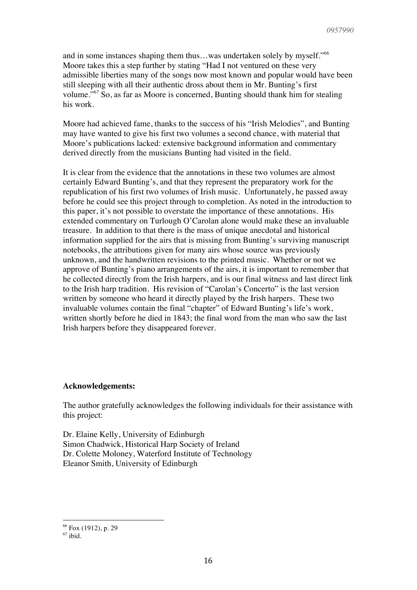and in some instances shaping them thus...was undertaken solely by myself."<sup>66</sup> Moore takes this a step further by stating "Had I not ventured on these very admissible liberties many of the songs now most known and popular would have been still sleeping with all their authentic dross about them in Mr. Bunting's first volume."<sup>67</sup> So, as far as Moore is concerned, Bunting should thank him for stealing his work.

Moore had achieved fame, thanks to the success of his "Irish Melodies", and Bunting may have wanted to give his first two volumes a second chance, with material that Moore's publications lacked: extensive background information and commentary derived directly from the musicians Bunting had visited in the field.

It is clear from the evidence that the annotations in these two volumes are almost certainly Edward Bunting's, and that they represent the preparatory work for the republication of his first two volumes of Irish music. Unfortunately, he passed away before he could see this project through to completion. As noted in the introduction to this paper, it's not possible to overstate the importance of these annotations. His extended commentary on Turlough O'Carolan alone would make these an invaluable treasure. In addition to that there is the mass of unique anecdotal and historical information supplied for the airs that is missing from Bunting's surviving manuscript notebooks, the attributions given for many airs whose source was previously unknown, and the handwritten revisions to the printed music. Whether or not we approve of Bunting's piano arrangements of the airs, it is important to remember that he collected directly from the Irish harpers, and is our final witness and last direct link to the Irish harp tradition. His revision of "Carolan's Concerto" is the last version written by someone who heard it directly played by the Irish harpers. These two invaluable volumes contain the final "chapter" of Edward Bunting's life's work, written shortly before he died in 1843; the final word from the man who saw the last Irish harpers before they disappeared forever.

#### **Acknowledgements:**

The author gratefully acknowledges the following individuals for their assistance with this project:

Dr. Elaine Kelly, University of Edinburgh Simon Chadwick, Historical Harp Society of Ireland Dr. Colette Moloney, Waterford Institute of Technology Eleanor Smith, University of Edinburgh

<sup>66</sup> Fox (1912), p. 29

 $67$  ibid.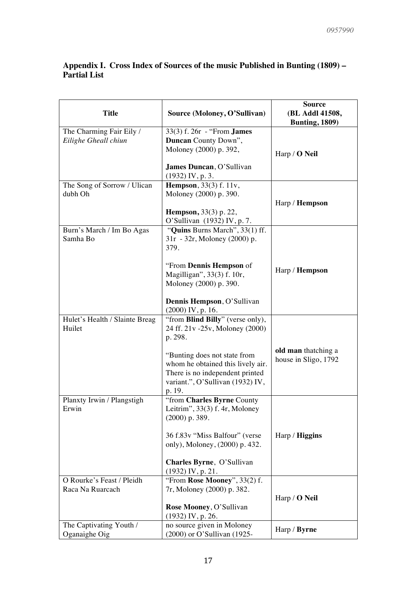### **Appendix I. Cross Index of Sources of the music Published in Bunting (1809) – Partial List**

| <b>Title</b>                   | Source (Moloney, O'Sullivan)                         | <b>Source</b><br>(BL Addl 41508,<br><b>Bunting, 1809)</b> |
|--------------------------------|------------------------------------------------------|-----------------------------------------------------------|
| The Charming Fair Eily /       | 33(3) f. 26r - "From <b>James</b>                    |                                                           |
| Eilighe Gheall chiun           | Duncan County Down",                                 |                                                           |
|                                | Moloney (2000) p. 392,                               |                                                           |
|                                |                                                      | Harp / $O$ Neil                                           |
|                                | James Duncan, O'Sullivan                             |                                                           |
|                                | $(1932)$ IV, p. 3.                                   |                                                           |
| The Song of Sorrow / Ulican    | <b>Hempson</b> , 33(3) f. 11v,                       |                                                           |
| dubh Oh                        | Moloney (2000) p. 390.                               |                                                           |
|                                |                                                      | Harp / <b>Hempson</b>                                     |
|                                | <b>Hempson</b> , 33(3) p. 22,                        |                                                           |
|                                | O'Sullivan (1932) IV, p. 7.                          |                                                           |
| Burn's March / Im Bo Agas      | "Quins Burns March", 33(1) ff.                       |                                                           |
| Samha Bo                       | 31r - 32r, Moloney (2000) p.                         |                                                           |
|                                | 379.                                                 |                                                           |
|                                |                                                      |                                                           |
|                                | "From Dennis Hempson of                              | Harp / <b>Hempson</b>                                     |
|                                | Magilligan", 33(3) f. 10r,<br>Moloney (2000) p. 390. |                                                           |
|                                |                                                      |                                                           |
|                                | Dennis Hempson, O'Sullivan                           |                                                           |
|                                | $(2000)$ IV, p. 16.                                  |                                                           |
| Hulet's Health / Slainte Breag | "from <b>Blind Billy</b> " (verse only),             |                                                           |
| Huilet                         | 24 ff. 21v -25v, Moloney (2000)                      |                                                           |
|                                | p. 298.                                              |                                                           |
|                                |                                                      |                                                           |
|                                | "Bunting does not state from                         | old man thatching a                                       |
|                                | whom he obtained this lively air.                    | house in Sligo, 1792                                      |
|                                | There is no independent printed                      |                                                           |
|                                | variant.", O'Sullivan (1932) IV,                     |                                                           |
|                                | p. 19.                                               |                                                           |
| Planxty Irwin / Plangstigh     | "from Charles Byrne County                           |                                                           |
| Erwin                          | Leitrim", $33(3)$ f. 4r, Moloney                     |                                                           |
|                                | $(2000)$ p. 389.                                     |                                                           |
|                                |                                                      |                                                           |
|                                | 36 f.83v "Miss Balfour" (verse                       | Harp / <b>Higgins</b>                                     |
|                                | only), Moloney, (2000) p. 432.                       |                                                           |
|                                | Charles Byrne, O'Sullivan                            |                                                           |
|                                | $(1932)$ IV, p. 21.                                  |                                                           |
| O Rourke's Feast / Pleidh      | "From Rose Mooney", 33(2) f.                         |                                                           |
| Raca Na Ruarcach               | 7r, Moloney (2000) p. 382.                           |                                                           |
|                                |                                                      | Harp / O Neil                                             |
|                                | Rose Mooney, O'Sullivan                              |                                                           |
|                                | $(1932)$ IV, p. 26.                                  |                                                           |
| The Captivating Youth /        | no source given in Moloney                           |                                                           |
| Oganaighe Oig                  | (2000) or O'Sullivan (1925-                          | Harp / Byrne                                              |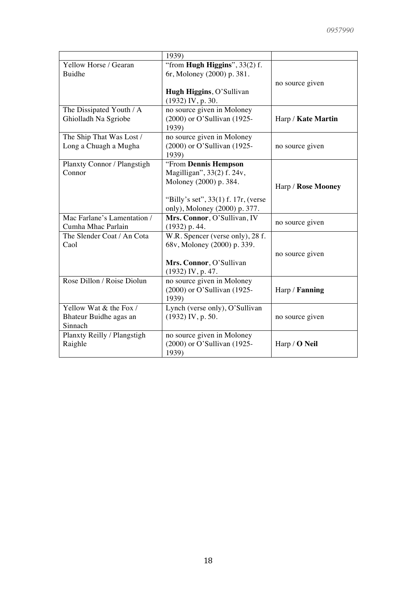|                             | 1939)                                                     |                       |
|-----------------------------|-----------------------------------------------------------|-----------------------|
| Yellow Horse / Gearan       | "from Hugh Higgins", $33(2)$ f.                           |                       |
| <b>Buidhe</b>               | 6r, Moloney (2000) p. 381.                                |                       |
|                             |                                                           | no source given       |
|                             | Hugh Higgins, O'Sullivan                                  |                       |
|                             | $(1932)$ IV, p. 30.                                       |                       |
| The Dissipated Youth / A    | no source given in Moloney                                |                       |
| Ghiolladh Na Sgriobe        | (2000) or O'Sullivan (1925-<br>1939)                      | Harp / Kate Martin    |
| The Ship That Was Lost /    | no source given in Moloney                                |                       |
| Long a Chuagh a Mugha       | (2000) or O'Sullivan (1925-                               | no source given       |
|                             | 1939)                                                     |                       |
| Planxty Connor / Plangstigh | "From Dennis Hempson                                      |                       |
| Connor                      | Magilligan", 33(2) f. 24v,                                |                       |
|                             | Moloney (2000) p. 384.                                    | Harp / Rose Mooney    |
|                             |                                                           |                       |
|                             | "Billy's set", $33(1)$ f. $17r$ , (verse                  |                       |
|                             | only), Moloney (2000) p. 377.                             |                       |
| Mac Farlane's Lamentation / | Mrs. Connor, O'Sullivan, IV                               | no source given       |
| Cumha Mhac Parlain          | $(1932)$ p. 44.                                           |                       |
| The Slender Coat / An Cota  | W.R. Spencer (verse only), 28 f.                          |                       |
| Caol                        | 68v, Moloney (2000) p. 339.                               |                       |
|                             |                                                           | no source given       |
|                             | Mrs. Connor, O'Sullivan                                   |                       |
| Rose Dillon / Roise Diolun  | $(1932)$ IV, p. 47.                                       |                       |
|                             | no source given in Moloney<br>(2000) or O'Sullivan (1925- |                       |
|                             | 1939)                                                     | Harp / <b>Fanning</b> |
| Yellow Wat & the Fox /      | Lynch (verse only), O'Sullivan                            |                       |
| Bhateur Buidhe agas an      | $(1932)$ IV, p. 50.                                       | no source given       |
| Sinnach                     |                                                           |                       |
| Planxty Reilly / Plangstigh | no source given in Moloney                                |                       |
| Raighle                     | (2000) or O'Sullivan (1925-                               | Harp / <b>O</b> Neil  |
|                             | 1939)                                                     |                       |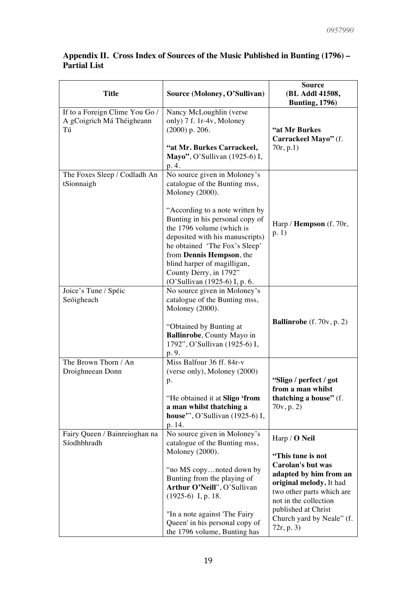| <b>Title</b>                                                      | Source (Moloney, O'Sullivan)                                                                                                                                                                                                                                                                                                                                                  | <b>Source</b><br>(BL Addl 41508,<br><b>Bunting</b> , 1796)                                                                                                                                                                           |
|-------------------------------------------------------------------|-------------------------------------------------------------------------------------------------------------------------------------------------------------------------------------------------------------------------------------------------------------------------------------------------------------------------------------------------------------------------------|--------------------------------------------------------------------------------------------------------------------------------------------------------------------------------------------------------------------------------------|
| If to a Foreign Clime You Go /<br>A gCoigrich Má Théigheann<br>Tú | Nancy McLoughlin (verse<br>only) 7 f. 1r-4v, Moloney<br>$(2000)$ p. 206.<br>"at Mr. Burkes Carrackeel,<br>Mayo", O'Sullivan (1925-6) I,<br>p. 4.                                                                                                                                                                                                                              | "at Mr Burkes<br>Carrackeel Mayo" (f.<br>70r, p.1)                                                                                                                                                                                   |
| The Foxes Sleep / Codladh An<br>tSionnaigh                        | No source given in Moloney's<br>catalogue of the Bunting mss,<br>Moloney (2000).<br>"According to a note written by<br>Bunting in his personal copy of<br>the 1796 volume (which is<br>deposited with his manuscripts)<br>he obtained 'The Fox's Sleep'<br>from Dennis Hempson, the<br>blind harper of magilligan,<br>County Derry, in 1792"<br>(O'Sullivan (1925-6) I, p. 6. | Harp / Hempson (f. 70r,<br>p.1)                                                                                                                                                                                                      |
| Joice's Tune / Spéic<br>Seóigheach                                | No source given in Moloney's<br>catalogue of the Bunting mss,<br>Moloney (2000).<br>"Obtained by Bunting at<br>Ballinrobe, County Mayo in<br>1792", O'Sullivan (1925-6) I,<br>p. 9.                                                                                                                                                                                           | <b>Ballinrobe</b> (f. $70v$ , p. 2)                                                                                                                                                                                                  |
| The Brown Thorn / An<br>Droighneean Donn                          | Miss Balfour $36$ ff. $84r-v$<br>(verse only), Moloney (2000)<br>p.<br>"He obtained it at <b>Sligo</b> 'from<br>a man whilst thatching a<br>house", O'Sullivan (1925-6) I,<br>p. 14.                                                                                                                                                                                          | "Sligo / perfect / got<br>from a man whilst<br>thatching a house" (f.<br>70v, p. 2)                                                                                                                                                  |
| Fairy Queen / Bainreioghan na<br>Síodhbhradh                      | No source given in Moloney's<br>catalogue of the Bunting mss,<br>Moloney (2000).<br>"no MS copynoted down by<br>Bunting from the playing of<br>Arthur O'Neill", O'Sullivan<br>$(1925-6)$ I, p. 18.<br>"In a note against 'The Fairy<br>Queen' in his personal copy of<br>the 1796 volume, Bunting has                                                                         | Harp / O Neil<br>"This tune is not<br>Carolan's but was<br>adapted by him from an<br>original melody. It had<br>two other parts which are<br>not in the collection<br>published at Christ<br>Church yard by Neale" (f.<br>72r, p. 3) |

# **Appendix II. Cross Index of Sources of the Music Published in Bunting (1796) – Partial List**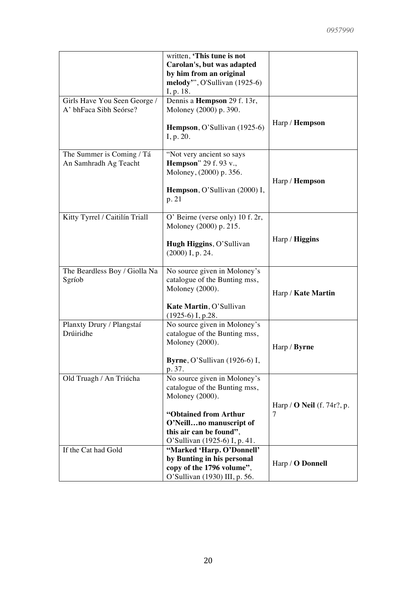|                                | written, 'This tune is not       |                                   |
|--------------------------------|----------------------------------|-----------------------------------|
|                                | Carolan's, but was adapted       |                                   |
|                                | by him from an original          |                                   |
|                                | melody", O'Sullivan (1925-6)     |                                   |
|                                |                                  |                                   |
|                                | I, p. 18.                        |                                   |
| Girls Have You Seen George /   | Dennis a Hempson 29 f. 13r,      |                                   |
| A' bhFaca Sibh Seórse?         | Moloney (2000) p. 390.           |                                   |
|                                | Hempson, O'Sullivan (1925-6)     | Harp / <b>Hempson</b>             |
|                                | I, p. 20.                        |                                   |
|                                |                                  |                                   |
| The Summer is Coming / Tá      | "Not very ancient so says        |                                   |
| An Samhradh Ag Teacht          | <b>Hempson</b> " 29 f. 93 v.,    |                                   |
|                                | Moloney, (2000) p. 356.          |                                   |
|                                |                                  | Harp / Hempson                    |
|                                | Hempson, O'Sullivan (2000) I,    |                                   |
|                                | p. 21                            |                                   |
|                                |                                  |                                   |
| Kitty Tyrrel / Caitilín Triall | O' Beirne (verse only) 10 f. 2r, |                                   |
|                                | Moloney (2000) p. 215.           |                                   |
|                                |                                  |                                   |
|                                |                                  | Harp / Higgins                    |
|                                | Hugh Higgins, O'Sullivan         |                                   |
|                                | $(2000)$ I, p. 24.               |                                   |
|                                |                                  |                                   |
| The Beardless Boy / Giolla Na  | No source given in Moloney's     |                                   |
| Sgríob                         | catalogue of the Bunting mss,    |                                   |
|                                | Moloney (2000).                  |                                   |
|                                |                                  | Harp / Kate Martin                |
|                                | Kate Martin, O'Sullivan          |                                   |
|                                | $(1925-6)$ I, p.28.              |                                   |
| Planxty Drury / Plangstaí      | No source given in Moloney's     |                                   |
| Drúiridhe                      | catalogue of the Bunting mss,    |                                   |
|                                |                                  |                                   |
|                                | Moloney (2000).                  | Harp / Byrne                      |
|                                |                                  |                                   |
|                                | Byrne, O'Sullivan (1926-6) I,    |                                   |
|                                | p. 37.                           |                                   |
| Old Truagh / An Triúcha        | No source given in Moloney's     |                                   |
|                                | catalogue of the Bunting mss,    |                                   |
|                                | Moloney (2000).                  |                                   |
|                                |                                  | Harp / $\bf{O}$ Neil (f. 74r?, p. |
|                                | "Obtained from Arthur            | 7                                 |
|                                | O'Neillno manuscript of          |                                   |
|                                | this air can be found".          |                                   |
|                                | O'Sullivan (1925-6) I, p. 41.    |                                   |
| If the Cat had Gold            | "Marked 'Harp. O'Donnell'        |                                   |
|                                | by Bunting in his personal       |                                   |
|                                |                                  | Harp / O Donnell                  |
|                                | copy of the 1796 volume",        |                                   |
|                                | O'Sullivan (1930) III, p. 56.    |                                   |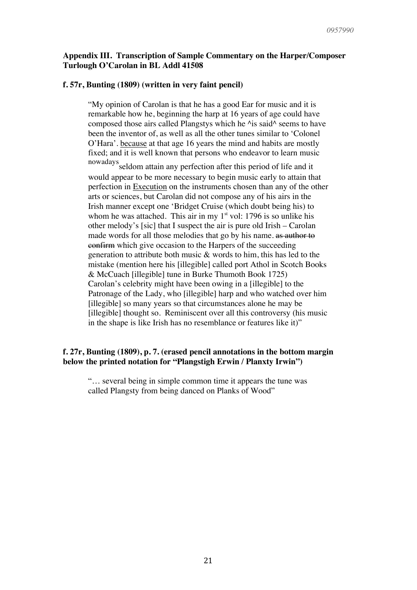#### **Appendix III. Transcription of Sample Commentary on the Harper/Composer Turlough O'Carolan in BL Addl 41508**

#### **f. 57r, Bunting (1809) (written in very faint pencil)**

"My opinion of Carolan is that he has a good Ear for music and it is remarkable how he, beginning the harp at 16 years of age could have composed those airs called Plangstys which he  $\lambda$ is said $\lambda$  seems to have been the inventor of, as well as all the other tunes similar to 'Colonel O'Hara'. because at that age 16 years the mind and habits are mostly fixed; and it is well known that persons who endeavor to learn music

nowadays seldom attain any perfection after this period of life and it would appear to be more necessary to begin music early to attain that perfection in Execution on the instruments chosen than any of the other arts or sciences, but Carolan did not compose any of his airs in the Irish manner except one 'Bridget Cruise (which doubt being his) to whom he was attached. This air in my  $1<sup>st</sup>$  vol: 1796 is so unlike his other melody's [sic] that I suspect the air is pure old Irish – Carolan made words for all those melodies that go by his name. as author to confirm which give occasion to the Harpers of the succeeding generation to attribute both music & words to him, this has led to the mistake (mention here his [illegible] called port Athol in Scotch Books & McCuach [illegible] tune in Burke Thumoth Book 1725) Carolan's celebrity might have been owing in a [illegible] to the Patronage of the Lady, who [illegible] harp and who watched over him [illegible] so many years so that circumstances alone he may be [illegible] thought so. Reminiscent over all this controversy (his music in the shape is like Irish has no resemblance or features like it)"

#### **f. 27r, Bunting (1809), p. 7. (erased pencil annotations in the bottom margin below the printed notation for "Plangstigh Erwin / Planxty Irwin")**

"… several being in simple common time it appears the tune was called Plangsty from being danced on Planks of Wood"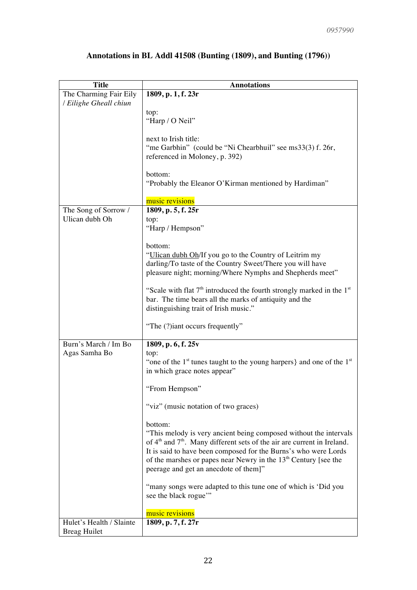| <b>Title</b>             | <b>Annotations</b>                                                                              |  |
|--------------------------|-------------------------------------------------------------------------------------------------|--|
| The Charming Fair Eily   | 1809, p. 1, f. 23r                                                                              |  |
| / Eilighe Gheall chiun   |                                                                                                 |  |
|                          | top:                                                                                            |  |
|                          | "Harp / O Neil"                                                                                 |  |
|                          |                                                                                                 |  |
|                          | next to Irish title:                                                                            |  |
|                          | "me Garbhin" (could be "Ni Chearbhuil" see ms33(3) f. 26r,                                      |  |
|                          | referenced in Moloney, p. 392)                                                                  |  |
|                          |                                                                                                 |  |
|                          | bottom:                                                                                         |  |
|                          | "Probably the Eleanor O'Kirman mentioned by Hardiman"                                           |  |
|                          |                                                                                                 |  |
|                          | music revisions                                                                                 |  |
| The Song of Sorrow /     | 1809, p. 5, f. 25r                                                                              |  |
| Ulican dubh Oh           | top:                                                                                            |  |
|                          | "Harp / Hempson"                                                                                |  |
|                          |                                                                                                 |  |
|                          | bottom:                                                                                         |  |
|                          | "Ulican dubh Oh/If you go to the Country of Leitrim my                                          |  |
|                          | darling/To taste of the Country Sweet/There you will have                                       |  |
|                          | pleasure night; morning/Where Nymphs and Shepherds meet"                                        |  |
|                          | "Scale with flat $7th$ introduced the fourth strongly marked in the $1st$                       |  |
|                          | bar. The time bears all the marks of antiquity and the                                          |  |
|                          | distinguishing trait of Irish music."                                                           |  |
|                          |                                                                                                 |  |
|                          | "The (?)iant occurs frequently"                                                                 |  |
|                          |                                                                                                 |  |
| Burn's March / Im Bo     | 1809, p. 6, f. 25v                                                                              |  |
| Agas Samha Bo            | top:                                                                                            |  |
|                          | "one of the $1st$ tunes taught to the young harpers} and one of the $1st$                       |  |
|                          | in which grace notes appear"                                                                    |  |
|                          |                                                                                                 |  |
|                          | "From Hempson"                                                                                  |  |
|                          |                                                                                                 |  |
|                          | "viz" (music notation of two graces)                                                            |  |
|                          |                                                                                                 |  |
|                          | bottom:                                                                                         |  |
|                          | "This melody is very ancient being composed without the intervals                               |  |
|                          | of 4 <sup>th</sup> and 7 <sup>th</sup> . Many different sets of the air are current in Ireland. |  |
|                          | It is said to have been composed for the Burns's who were Lords                                 |  |
|                          | of the marshes or papes near Newry in the $13th$ Century [see the                               |  |
|                          | peerage and get an anecdote of them]"                                                           |  |
|                          |                                                                                                 |  |
|                          | "many songs were adapted to this tune one of which is 'Did you                                  |  |
|                          | see the black rogue"                                                                            |  |
|                          | music revisions                                                                                 |  |
| Hulet's Health / Slainte |                                                                                                 |  |
| <b>Breag Huilet</b>      | 1809, p. 7, f. 27r                                                                              |  |
|                          |                                                                                                 |  |

# **Annotations in BL Addl 41508 (Bunting (1809), and Bunting (1796))**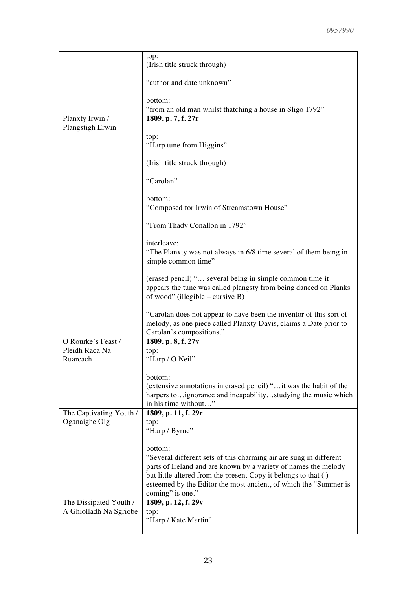|                                          | top:<br>(Irish title struck through)                                                                                                                                |
|------------------------------------------|---------------------------------------------------------------------------------------------------------------------------------------------------------------------|
|                                          | "author and date unknown"                                                                                                                                           |
|                                          | bottom:<br>"from an old man whilst thatching a house in Sligo 1792"                                                                                                 |
| Planxty Irwin /                          | 1809, p. 7, f. 27r                                                                                                                                                  |
| Plangstigh Erwin                         | top:<br>"Harp tune from Higgins"                                                                                                                                    |
|                                          | (Irish title struck through)                                                                                                                                        |
|                                          | "Carolan"                                                                                                                                                           |
|                                          | bottom:                                                                                                                                                             |
|                                          | "Composed for Irwin of Streamstown House"                                                                                                                           |
|                                          | "From Thady Conallon in 1792"                                                                                                                                       |
|                                          | interleave:                                                                                                                                                         |
|                                          | "The Planxty was not always in 6/8 time several of them being in                                                                                                    |
|                                          | simple common time"                                                                                                                                                 |
|                                          | (erased pencil) " several being in simple common time it                                                                                                            |
|                                          | appears the tune was called plangsty from being danced on Planks<br>of wood" (illegible – cursive $B$ )                                                             |
|                                          | "Carolan does not appear to have been the inventor of this sort of<br>melody, as one piece called Planxty Davis, claims a Date prior to<br>Carolan's compositions." |
| O Rourke's Feast /                       | 1809, p. 8, f. 27v                                                                                                                                                  |
| Pleidh Raca Na                           | top:                                                                                                                                                                |
| Ruarcach                                 | "Harp / O Neil"                                                                                                                                                     |
|                                          | bottom:                                                                                                                                                             |
|                                          | (extensive annotations in erased pencil) " it was the habit of the                                                                                                  |
|                                          | harpers toignorance and incapabilitystudying the music which                                                                                                        |
|                                          | in his time without"                                                                                                                                                |
| The Captivating Youth /<br>Oganaighe Oig | 1809, p. 11, f. 29r<br>top:                                                                                                                                         |
|                                          | "Harp / Byrne"                                                                                                                                                      |
|                                          | bottom:                                                                                                                                                             |
|                                          | "Several different sets of this charming air are sung in different                                                                                                  |
|                                          | parts of Ireland and are known by a variety of names the melody                                                                                                     |
|                                          | but little altered from the present Copy it belongs to that ()                                                                                                      |
|                                          | esteemed by the Editor the most ancient, of which the "Summer is                                                                                                    |
|                                          | coming" is one."                                                                                                                                                    |
| The Dissipated Youth /                   | 1809, p. 12, f. 29v                                                                                                                                                 |
| A Ghiolladh Na Sgriobe                   | top:<br>"Harp / Kate Martin"                                                                                                                                        |
|                                          |                                                                                                                                                                     |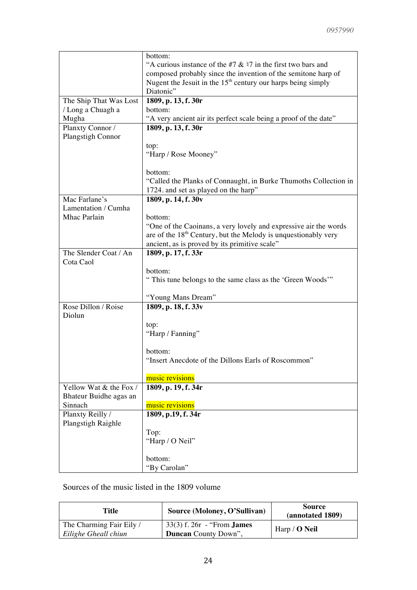|                        | bottom:                                                          |
|------------------------|------------------------------------------------------------------|
|                        | "A curious instance of the #7 $\&$ 47 in the first two bars and  |
|                        | composed probably since the invention of the semitone harp of    |
|                        | Nugent the Jesuit in the $15th$ century our harps being simply   |
|                        | Diatonic"                                                        |
| The Ship That Was Lost | 1809, p. 13, f. 30r                                              |
| / Long a Chuagh a      | bottom:                                                          |
|                        |                                                                  |
| Mugha                  | "A very ancient air its perfect scale being a proof of the date" |
| Planxty Connor /       | 1809, p. 13, f. 30r                                              |
| Plangstigh Connor      |                                                                  |
|                        | top:                                                             |
|                        | "Harp / Rose Mooney"                                             |
|                        |                                                                  |
|                        | bottom:                                                          |
|                        | "Called the Planks of Connaught, in Burke Thumoths Collection in |
|                        | 1724. and set as played on the harp"                             |
| Mac Farlane's          | 1809, p. 14, f. 30v                                              |
| Lamentation / Cumha    |                                                                  |
| Mhac Parlain           | bottom:                                                          |
|                        | "One of the Caoinans, a very lovely and expressive air the words |
|                        | are of the $18th$ Century, but the Melody is unquestionably very |
|                        | ancient, as is proved by its primitive scale"                    |
| The Slender Coat / An  | 1809, p. 17, f. 33r                                              |
| Cota Caol              |                                                                  |
|                        |                                                                  |
|                        | bottom:                                                          |
|                        | "This tune belongs to the same class as the 'Green Woods'"       |
|                        |                                                                  |
|                        | "Young Mans Dream"                                               |
| Rose Dillon / Roise    | 1809, p. 18, f. 33v                                              |
| Diolun                 |                                                                  |
|                        | top:                                                             |
|                        | "Harp / Fanning"                                                 |
|                        |                                                                  |
|                        | bottom:                                                          |
|                        | "Insert Anecdote of the Dillons Earls of Roscommon"              |
|                        |                                                                  |
|                        | music revisions                                                  |
| Yellow Wat & the Fox / | 1809, p. 19, f. 34r                                              |
| Bhateur Buidhe agas an |                                                                  |
| Sinnach                | music revisions                                                  |
| Planxty Reilly /       | 1809, p.19, f. 34r                                               |
| Plangstigh Raighle     |                                                                  |
|                        | Top:                                                             |
|                        | "Harp / O Neil"                                                  |
|                        |                                                                  |
|                        | bottom:                                                          |
|                        |                                                                  |
|                        | "By Carolan"                                                     |

### Sources of the music listed in the 1809 volume

| Title                                            | Source (Moloney, O'Sullivan)                                        | <b>Source</b><br>(annotated 1809) |
|--------------------------------------------------|---------------------------------------------------------------------|-----------------------------------|
| The Charming Fair Eily /<br>Eilighe Gheall chiun | $33(3)$ f. $26r -$ From <b>James</b><br><b>Duncan</b> County Down", | Harp / $O$ Neil                   |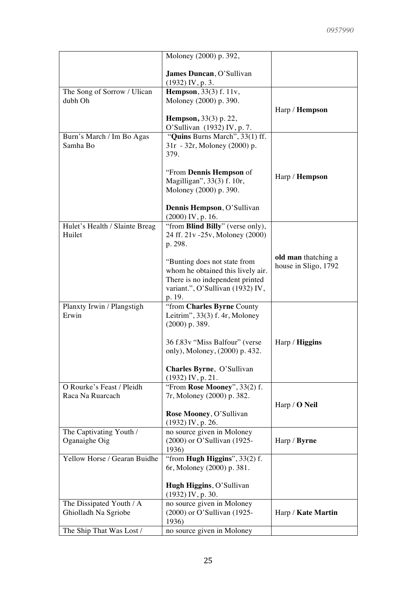|                                                  | Moloney (2000) p. 392,                                                                                                                                                                                                                                      |                                             |
|--------------------------------------------------|-------------------------------------------------------------------------------------------------------------------------------------------------------------------------------------------------------------------------------------------------------------|---------------------------------------------|
|                                                  | James Duncan, O'Sullivan<br>$(1932)$ IV, p. 3.                                                                                                                                                                                                              |                                             |
| The Song of Sorrow / Ulican<br>dubh Oh           | <b>Hempson</b> , 33(3) f. 11v,<br>Moloney (2000) p. 390.<br><b>Hempson</b> , 33(3) p. 22,                                                                                                                                                                   | Harp / Hempson                              |
| Burn's March / Im Bo Agas<br>Samha Bo            | O'Sullivan (1932) IV, p. 7.<br>"Quins Burns March", 33(1) ff.<br>31r - 32r, Moloney (2000) p.<br>379.<br>"From Dennis Hempson of<br>Magilligan", 33(3) f. 10r,<br>Moloney (2000) p. 390.<br>Dennis Hempson, O'Sullivan                                      | Harp / Hempson                              |
| Hulet's Health / Slainte Breag<br>Huilet         | $(2000)$ IV, p. 16.<br>"from Blind Billy" (verse only),<br>24 ff. 21v -25v, Moloney (2000)<br>p. 298.<br>"Bunting does not state from<br>whom he obtained this lively air.<br>There is no independent printed<br>variant.", O'Sullivan (1932) IV,<br>p. 19. | old man thatching a<br>house in Sligo, 1792 |
| Planxty Irwin / Plangstigh<br>Erwin              | "from Charles Byrne County<br>Leitrim", $33(3)$ f. 4r, Moloney<br>$(2000)$ p. 389.<br>36 f.83v "Miss Balfour" (verse<br>only), Moloney, (2000) p. 432.<br>Charles Byrne, O'Sullivan<br>$(1932)$ IV, p. 21.                                                  | Harp / <b>Higgins</b>                       |
| O Rourke's Feast / Pleidh<br>Raca Na Ruarcach    | "From Rose Mooney", 33(2) f.<br>7r, Moloney (2000) p. 382.<br>Rose Mooney, O'Sullivan<br>$(1932)$ IV, p. 26.                                                                                                                                                | Harp / <b>O</b> Neil                        |
| The Captivating Youth /<br>Oganaighe Oig         | no source given in Moloney<br>(2000) or O'Sullivan (1925-<br>1936)                                                                                                                                                                                          | Harp / Byrne                                |
| Yellow Horse / Gearan Buidhe                     | "from <b>Hugh Higgins</b> ", $33(2)$ f.<br>6r, Moloney (2000) p. 381.<br>Hugh Higgins, O'Sullivan<br>(1932) IV, p. 30.                                                                                                                                      |                                             |
| The Dissipated Youth / A<br>Ghiolladh Na Sgriobe | no source given in Moloney<br>(2000) or O'Sullivan (1925-<br>1936)                                                                                                                                                                                          | Harp / Kate Martin                          |
| The Ship That Was Lost /                         | no source given in Moloney                                                                                                                                                                                                                                  |                                             |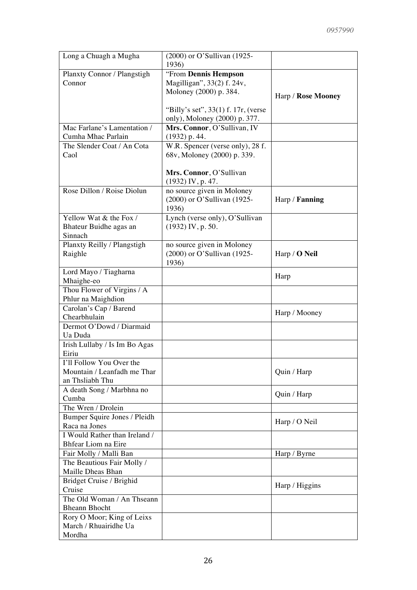| Long a Chuagh a Mugha                        | (2000) or O'Sullivan (1925-           |                       |
|----------------------------------------------|---------------------------------------|-----------------------|
|                                              | 1936)                                 |                       |
| Planxty Connor / Plangstigh                  | "From Dennis Hempson                  |                       |
| Connor                                       | Magilligan", 33(2) f. 24v,            |                       |
|                                              | Moloney (2000) p. 384.                | Harp / Rose Mooney    |
|                                              |                                       |                       |
|                                              | "Billy's set", $33(1)$ f. 17r, (verse |                       |
|                                              | only), Moloney (2000) p. 377.         |                       |
| Mac Farlane's Lamentation /                  | Mrs. Connor, O'Sullivan, IV           |                       |
| Cumha Mhac Parlain                           | $(1932)$ p. 44.                       |                       |
| The Slender Coat / An Cota                   | W.R. Spencer (verse only), 28 f.      |                       |
| Caol                                         | 68v, Moloney (2000) p. 339.           |                       |
|                                              |                                       |                       |
|                                              | Mrs. Connor, O'Sullivan               |                       |
|                                              | $(1932)$ IV, p. 47.                   |                       |
| Rose Dillon / Roise Diolun                   | no source given in Moloney            |                       |
|                                              | (2000) or O'Sullivan (1925-           | Harp / <b>Fanning</b> |
|                                              | 1936)                                 |                       |
| Yellow Wat & the Fox /                       | Lynch (verse only), O'Sullivan        |                       |
| Bhateur Buidhe agas an                       | $(1932)$ IV, p. 50.                   |                       |
| Sinnach                                      |                                       |                       |
| Planxty Reilly / Plangstigh                  | no source given in Moloney            |                       |
| Raighle                                      | (2000) or O'Sullivan (1925-           | Harp / O Neil         |
|                                              | 1936)                                 |                       |
| Lord Mayo / Tiagharna                        |                                       | Harp                  |
| Mhaighe-eo                                   |                                       |                       |
| Thou Flower of Virgins / A                   |                                       |                       |
| Phlur na Maighdion<br>Carolan's Cap / Barend |                                       |                       |
| Chearbhulain                                 |                                       | Harp / Mooney         |
| Dermot O'Dowd / Diarmaid                     |                                       |                       |
| Ua Duda                                      |                                       |                       |
| Irish Lullaby / Is Im Bo Agas                |                                       |                       |
| Eiriu                                        |                                       |                       |
| I'll Follow You Over the                     |                                       |                       |
| Mountain / Leanfadh me Thar                  |                                       | Quin / Harp           |
| an Thsliabh Thu                              |                                       |                       |
| A death Song / Marbhna no                    |                                       |                       |
| Cumba                                        |                                       | Quin / Harp           |
| The Wren / Drolein                           |                                       |                       |
| Bumper Squire Jones / Pleidh                 |                                       |                       |
| Raca na Jones                                |                                       | Harp / O Neil         |
| I Would Rather than Ireland /                |                                       |                       |
| Bhfear Liom na Eire                          |                                       |                       |
| Fair Molly / Malli Ban                       |                                       | Harp / Byrne          |
| The Beautious Fair Molly /                   |                                       |                       |
| Maille Dheas Bhan                            |                                       |                       |
| Bridget Cruise / Brighid                     |                                       |                       |
| Cruise                                       |                                       | Harp / Higgins        |
| The Old Woman / An Thseann                   |                                       |                       |
| <b>Bheann Bhocht</b>                         |                                       |                       |
| Rory O Moor; King of Leixs                   |                                       |                       |
| March / Rhuairidhe Ua                        |                                       |                       |
| Mordha                                       |                                       |                       |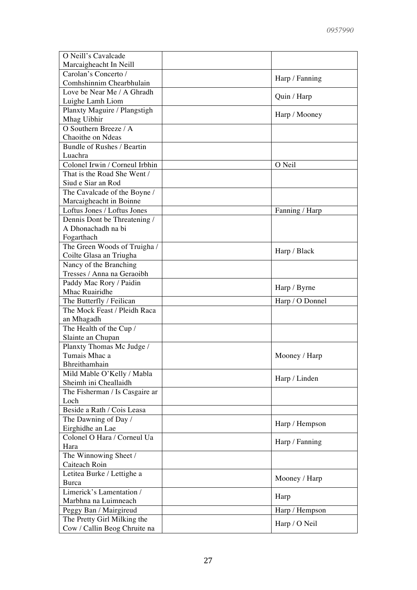| O Neill's Cavalcade                |                 |
|------------------------------------|-----------------|
| Marcaigheacht In Neill             |                 |
| Carolan's Concerto /               |                 |
| Comhshinnim Chearbhulain           | Harp / Fanning  |
| Love be Near Me / A Ghradh         |                 |
| Luighe Lamh Liom                   | Quin / Harp     |
| Planxty Maguire / Plangstigh       |                 |
| Mhag Uibhir                        | Harp / Mooney   |
| O Southern Breeze / $\overline{A}$ |                 |
| Chaoithe on Ndeas                  |                 |
| Bundle of Rushes / Beartin         |                 |
| Luachra                            |                 |
| Colonel Irwin / Corneul Irbhin     | O Neil          |
| That is the Road She Went /        |                 |
| Siud e Siar an Rod                 |                 |
| The Cavalcade of the Boyne /       |                 |
| Marcaigheacht in Boinne            |                 |
| Loftus Jones / Loftus Jones        | Fanning / Harp  |
| Dennis Dont be Threatening /       |                 |
| A Dhonachadh na bi                 |                 |
| Fogarthach                         |                 |
| The Green Woods of Truigha /       |                 |
| Coilte Glasa an Triugha            | Harp / Black    |
| Nancy of the Branching             |                 |
| Tresses / Anna na Geraoibh         |                 |
| Paddy Mac Rory / Paidin            |                 |
| Mhac Ruairidhe                     | Harp / Byrne    |
| The Butterfly / Feilican           | Harp / O Donnel |
| The Mock Feast / Pleidh Raca       |                 |
| an Mhagadh                         |                 |
| The Health of the Cup /            |                 |
| Slainte an Chupan                  |                 |
| Planxty Thomas Mc Judge /          |                 |
| Tumais Mhac a                      | Mooney / Harp   |
| Bhreithamhain                      |                 |
| Mild Mable O'Kelly / Mabla         | Harp / Linden   |
| Sheimh ini Cheallaidh              |                 |
| The Fisherman / Is Casgaire ar     |                 |
| Loch                               |                 |
| Beside a Rath / Cois Leasa         |                 |
| The Dawning of Day /               | Harp / Hempson  |
| Eirghidhe an Lae                   |                 |
| Colonel O Hara / Corneul Ua        | Harp / Fanning  |
| Hara                               |                 |
| The Winnowing Sheet /              |                 |
| Caiteach Roin                      |                 |
| Letitea Burke / Lettighe a         | Mooney / Harp   |
| Burca                              |                 |
| Limerick's Lamentation /           | Harp            |
| Marbhna na Luimneach               |                 |
| Peggy Ban / Mairgireud             | Harp / Hempson  |
| The Pretty Girl Milking the        | Harp / O Neil   |
| Cow / Callin Beog Chruite na       |                 |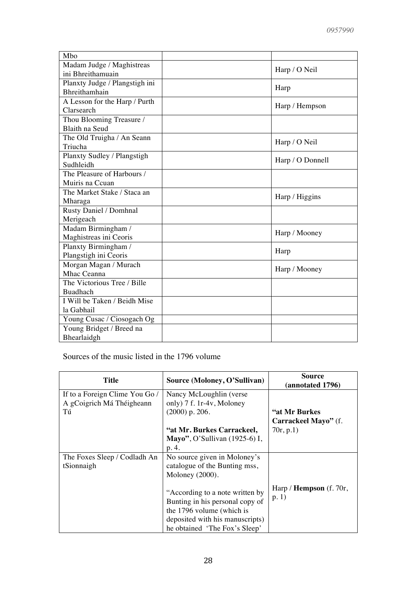| Mbo                            |                  |
|--------------------------------|------------------|
| Madam Judge / Maghistreas      |                  |
| ini Bhreithamuain              | Harp / O Neil    |
| Planxty Judge / Plangstigh ini | Harp             |
| Bhreithamhain                  |                  |
| A Lesson for the Harp / Purth  | Harp / Hempson   |
| Clarsearch                     |                  |
| Thou Blooming Treasure /       |                  |
| Blaith na Seud                 |                  |
| The Old Truigha / An Seann     | Harp / O Neil    |
| Triucha                        |                  |
| Planxty Sudley / Plangstigh    | Harp / O Donnell |
| Sudhleidh                      |                  |
| The Pleasure of Harbours /     |                  |
| Muiris na Ccuan                |                  |
| The Market Stake / Staca an    | Harp / Higgins   |
| Mharaga                        |                  |
| Rusty Daniel / Domhnal         |                  |
| Merigeach                      |                  |
| Madam Birmingham /             | Harp / Mooney    |
| Maghistreas ini Ceoris         |                  |
| Planxty Birmingham /           | Harp             |
| Plangstigh ini Ceoris          |                  |
| Morgan Magan / Murach          | Harp / Mooney    |
| Mhac Ceanna                    |                  |
| The Victorious Tree / Bille    |                  |
| <b>Buadhach</b>                |                  |
| I Will be Taken / Beidh Mise   |                  |
| la Gabhail                     |                  |
| Young Cusac / Ciosogach Og     |                  |
| Young Bridget / Breed na       |                  |
| Bhearlaidgh                    |                  |

Sources of the music listed in the 1796 volume

| <b>Title</b>                                                      | Source (Moloney, O'Sullivan)                                                                                                                                                                                                                            | <b>Source</b><br>(annotated 1796)                   |
|-------------------------------------------------------------------|---------------------------------------------------------------------------------------------------------------------------------------------------------------------------------------------------------------------------------------------------------|-----------------------------------------------------|
| If to a Foreign Clime You Go /<br>A gCoigrich Má Théigheann<br>Tú | Nancy McLoughlin (verse)<br>only) 7 f. 1r-4v, Moloney<br>$(2000)$ p. 206.<br>"at Mr. Burkes Carrackeel,<br>Mayo", O'Sullivan $(1925-6)$ I,<br>p. 4.                                                                                                     | "at Mr Burkes"<br>Carrackeel Mayo" (f.<br>70r, p.1) |
| The Foxes Sleep / Codladh An<br>tSionnaigh                        | No source given in Moloney's<br>catalogue of the Bunting mss,<br>Moloney (2000).<br>"According to a note written by<br>Bunting in his personal copy of<br>the 1796 volume (which is<br>deposited with his manuscripts)<br>he obtained 'The Fox's Sleep' | Harp / <b>Hempson</b> (f. 70 $r$ ,<br>p.1)          |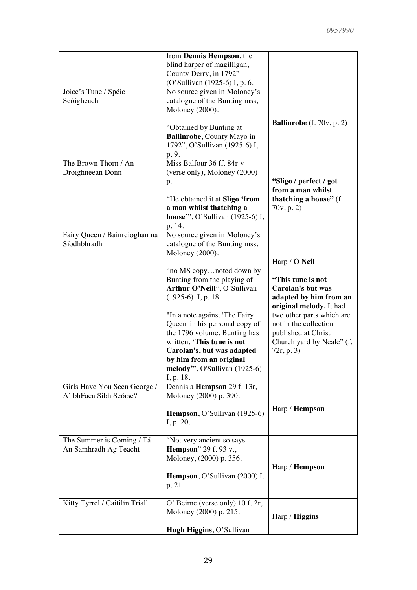|                                                        | from Dennis Hempson, the<br>blind harper of magilligan,<br>County Derry, in 1792"<br>(O'Sullivan (1925-6) I, p. 6.                                                                                                                                                                                                                                                                                                                        |                                                                                                                                                                                                                                                    |
|--------------------------------------------------------|-------------------------------------------------------------------------------------------------------------------------------------------------------------------------------------------------------------------------------------------------------------------------------------------------------------------------------------------------------------------------------------------------------------------------------------------|----------------------------------------------------------------------------------------------------------------------------------------------------------------------------------------------------------------------------------------------------|
| Joice's Tune / Spéic<br>Seóigheach                     | No source given in Moloney's<br>catalogue of the Bunting mss,<br>Moloney (2000).<br>"Obtained by Bunting at<br>Ballinrobe, County Mayo in<br>1792", O'Sullivan (1925-6) I,<br>p. 9.                                                                                                                                                                                                                                                       | <b>Ballinrobe</b> (f. $70v$ , p. 2)                                                                                                                                                                                                                |
| The Brown Thorn / An<br>Droighneean Donn               | Miss Balfour 36 ff. 84r-v<br>(verse only), Moloney (2000)<br>p.<br>"He obtained it at Sligo 'from<br>a man whilst thatching a<br>house", O'Sullivan (1925-6) I,<br>p. 14.                                                                                                                                                                                                                                                                 | "Sligo / perfect / got<br>from a man whilst<br>thatching a house" (f.<br>70v, p. 2)                                                                                                                                                                |
| Fairy Queen / Bainreioghan na<br>Síodhbhradh           | No source given in Moloney's<br>catalogue of the Bunting mss,<br>Moloney (2000).<br>"no MS copynoted down by<br>Bunting from the playing of<br>Arthur O'Neill", O'Sullivan<br>$(1925-6)$ I, p. 18.<br>"In a note against 'The Fairy<br>Queen' in his personal copy of<br>the 1796 volume, Bunting has<br>written, 'This tune is not<br>Carolan's, but was adapted<br>by him from an original<br>melody", O'Sullivan (1925-6)<br>I, p. 18. | Harp / <b>O</b> Neil<br>"This tune is not<br><b>Carolan's but was</b><br>adapted by him from an<br>original melody. It had<br>two other parts which are<br>not in the collection<br>published at Christ<br>Church yard by Neale" (f.<br>72r, p. 3) |
| Girls Have You Seen George /<br>A' bhFaca Sibh Seórse? | Dennis a Hempson 29 f. 13r,<br>Moloney (2000) p. 390.<br>Hempson, O'Sullivan (1925-6)<br>I, p. 20.                                                                                                                                                                                                                                                                                                                                        | Harp / <b>Hempson</b>                                                                                                                                                                                                                              |
| The Summer is Coming / Tá<br>An Samhradh Ag Teacht     | "Not very ancient so says<br><b>Hempson</b> " 29 f. 93 v.,<br>Moloney, (2000) p. 356.<br>Hempson, O'Sullivan (2000) I,<br>p. 21                                                                                                                                                                                                                                                                                                           | Harp / <b>Hempson</b>                                                                                                                                                                                                                              |
| Kitty Tyrrel / Caitilín Triall                         | O' Beirne (verse only) 10 f. 2r,<br>Moloney (2000) p. 215.<br>Hugh Higgins, O'Sullivan                                                                                                                                                                                                                                                                                                                                                    | Harp / Higgins                                                                                                                                                                                                                                     |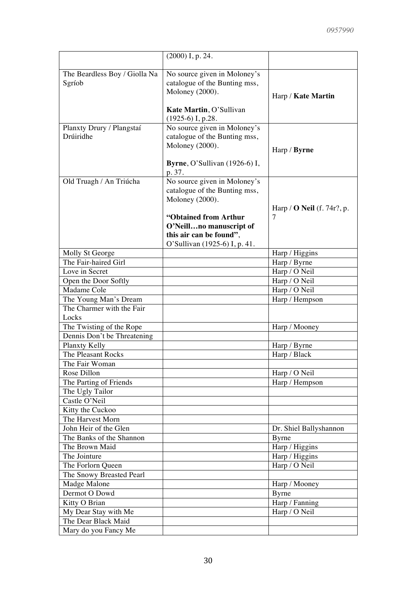|                                                    | $(2000)$ I, p. 24.                                            |                                   |
|----------------------------------------------------|---------------------------------------------------------------|-----------------------------------|
|                                                    |                                                               |                                   |
| The Beardless Boy / Giolla Na                      | No source given in Moloney's                                  |                                   |
| Sgríob                                             | catalogue of the Bunting mss,<br>Moloney (2000).              |                                   |
|                                                    |                                                               | Harp / Kate Martin                |
|                                                    | Kate Martin, O'Sullivan                                       |                                   |
|                                                    | $(1925-6)$ I, p.28.                                           |                                   |
| Planxty Drury / Plangstaí                          | No source given in Moloney's                                  |                                   |
| Drúiridhe                                          | catalogue of the Bunting mss,                                 |                                   |
|                                                    | Moloney (2000).                                               | Harp / Byrne                      |
|                                                    |                                                               |                                   |
|                                                    | <b>Byrne</b> , O'Sullivan $(1926-6)$ I,                       |                                   |
|                                                    | p. 37.                                                        |                                   |
| Old Truagh / An Triúcha                            | No source given in Moloney's<br>catalogue of the Bunting mss, |                                   |
|                                                    | Moloney (2000).                                               |                                   |
|                                                    |                                                               | Harp / $\bf{O}$ Neil (f. 74r?, p. |
|                                                    | "Obtained from Arthur                                         | 7                                 |
|                                                    | O'Neillno manuscript of                                       |                                   |
|                                                    | this air can be found".                                       |                                   |
|                                                    | O'Sullivan (1925-6) I, p. 41.                                 |                                   |
| Molly St George                                    |                                                               | Harp / Higgins                    |
| The Fair-haired Girl                               |                                                               | Harp / Byrne                      |
| Love in Secret                                     |                                                               | Harp / O Neil                     |
| Open the Door Softly                               |                                                               | Harp / O Neil                     |
| Madame Cole                                        |                                                               | Harp / O Neil                     |
| The Young Man's Dream<br>The Charmer with the Fair |                                                               | Harp / Hempson                    |
| Locks                                              |                                                               |                                   |
| The Twisting of the Rope                           |                                                               | Harp / Mooney                     |
| Dennis Don't be Threatening                        |                                                               |                                   |
| Planxty Kelly                                      |                                                               | Harp / Byrne                      |
| The Pleasant Rocks                                 |                                                               | Harp / Black                      |
| The Fair Woman                                     |                                                               |                                   |
| Rose Dillon                                        |                                                               | Harp / O Neil                     |
| The Parting of Friends                             |                                                               | Harp / Hempson                    |
| The Ugly Tailor                                    |                                                               |                                   |
| Castle O'Neil                                      |                                                               |                                   |
| Kitty the Cuckoo                                   |                                                               |                                   |
| The Harvest Morn<br>John Heir of the Glen          |                                                               |                                   |
| The Banks of the Shannon                           |                                                               | Dr. Shiel Ballyshannon<br>Byrne   |
| The Brown Maid                                     |                                                               | Harp / Higgins                    |
| The Jointure                                       |                                                               | Harp / Higgins                    |
| The Forlorn Queen                                  |                                                               | Harp / O Neil                     |
| The Snowy Breasted Pearl                           |                                                               |                                   |
| Madge Malone                                       |                                                               | Harp / Mooney                     |
| Dermot O Dowd                                      |                                                               | <b>Byrne</b>                      |
| Kitty O Brian                                      |                                                               | Harp / Fanning                    |
| My Dear Stay with Me                               |                                                               | Harp / O Neil                     |
| The Dear Black Maid                                |                                                               |                                   |
| Mary do you Fancy Me                               |                                                               |                                   |